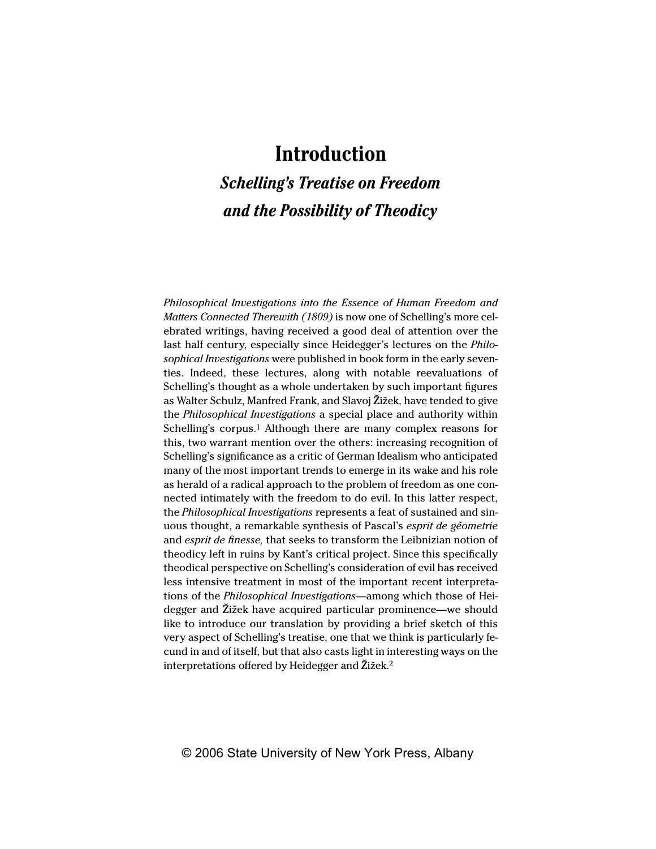# **Introduction**

# *Schelling's Treatise on Freedom and the Possibility of Theodicy*

*Philosophical Investigations into the Essence of Human Freedom and Matters Connected Therewith (1809)* is now one of Schelling's more celebrated writings, having received a good deal of attention over the last half century, especially since Heidegger's lectures on the *Philosophical Investigations* were published in book form in the early seventies. Indeed, these lectures, along with notable reevaluations of Schelling's thought as a whole undertaken by such important figures as Walter Schulz, Manfred Frank, and Slavoj Žižek, have tended to give the *Philosophical Investigations* a special place and authority within Schelling's corpus.<sup>1</sup> Although there are many complex reasons for this, two warrant mention over the others: increasing recognition of Schelling's significance as a critic of German Idealism who anticipated many of the most important trends to emerge in its wake and his role as herald of a radical approach to the problem of freedom as one connected intimately with the freedom to do evil. In this latter respect, the *Philosophical Investigations* represents a feat of sustained and sinuous thought, a remarkable synthesis of Pascal's *esprit de géometrie* and *esprit de finesse,* that seeks to transform the Leibnizian notion of theodicy left in ruins by Kant's critical project. Since this specifically theodical perspective on Schelling's consideration of evil has received less intensive treatment in most of the important recent interpretations of the *Philosophical Investigations*—among which those of Heidegger and Žižek have acquired particular prominence—we should like to introduce our translation by providing a brief sketch of this very aspect of Schelling's treatise, one that we think is particularly fecund in and of itself, but that also casts light in interesting ways on the interpretations offered by Heidegger and  $\tilde{Z}$ i  $\tilde{Z}$ ek.<sup>2</sup>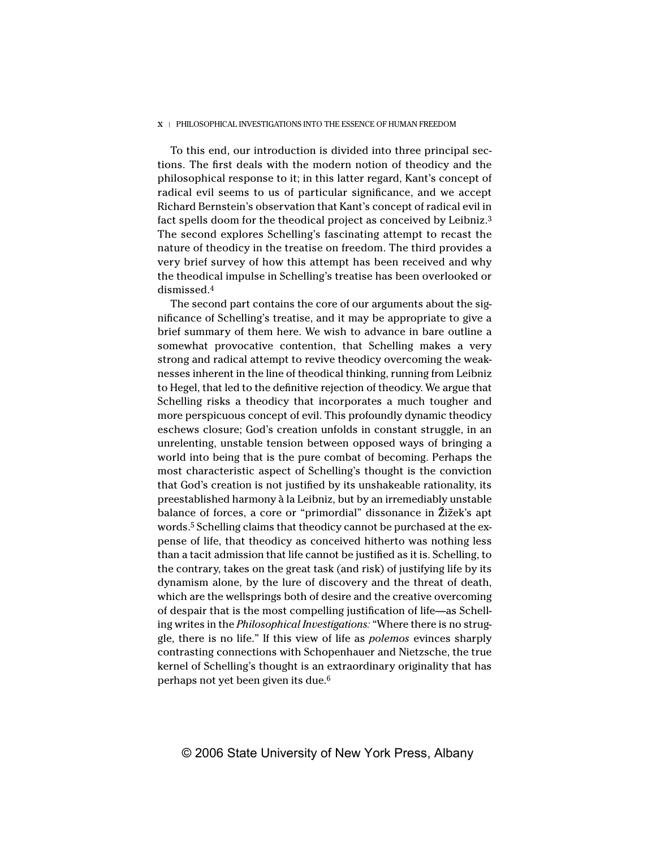#### x | PHILOSOPHICAL INVESTIGATIONS INTO THE ESSENCE OF HUMAN FREEDOM

To this end, our introduction is divided into three principal sections. The first deals with the modern notion of theodicy and the philosophical response to it; in this latter regard, Kant's concept of radical evil seems to us of particular significance, and we accept Richard Bernstein's observation that Kant's concept of radical evil in fact spells doom for the theodical project as conceived by Leibniz.3 The second explores Schelling's fascinating attempt to recast the nature of theodicy in the treatise on freedom. The third provides a very brief survey of how this attempt has been received and why the theodical impulse in Schelling's treatise has been overlooked or dismissed.4

The second part contains the core of our arguments about the significance of Schelling's treatise, and it may be appropriate to give a brief summary of them here. We wish to advance in bare outline a somewhat provocative contention, that Schelling makes a very strong and radical attempt to revive theodicy overcoming the weaknesses inherent in the line of theodical thinking, running from Leibniz to Hegel, that led to the definitive rejection of theodicy. We argue that Schelling risks a theodicy that incorporates a much tougher and more perspicuous concept of evil. This profoundly dynamic theodicy eschews closure; God's creation unfolds in constant struggle, in an unrelenting, unstable tension between opposed ways of bringing a world into being that is the pure combat of becoming. Perhaps the most characteristic aspect of Schelling's thought is the conviction that God's creation is not justified by its unshakeable rationality, its preestablished harmony à la Leibniz, but by an irremediably unstable balance of forces, a core or "primordial" dissonance in Žižek's apt words.5 Schelling claims that theodicy cannot be purchased at the expense of life, that theodicy as conceived hitherto was nothing less than a tacit admission that life cannot be justified as it is. Schelling, to the contrary, takes on the great task (and risk) of justifying life by its dynamism alone, by the lure of discovery and the threat of death, which are the wellsprings both of desire and the creative overcoming of despair that is the most compelling justification of life—as Schelling writes in the *Philosophical Investigations:* "Where there is no struggle, there is no life." If this view of life as *polemos* evinces sharply contrasting connections with Schopenhauer and Nietzsche, the true kernel of Schelling's thought is an extraordinary originality that has perhaps not yet been given its due.6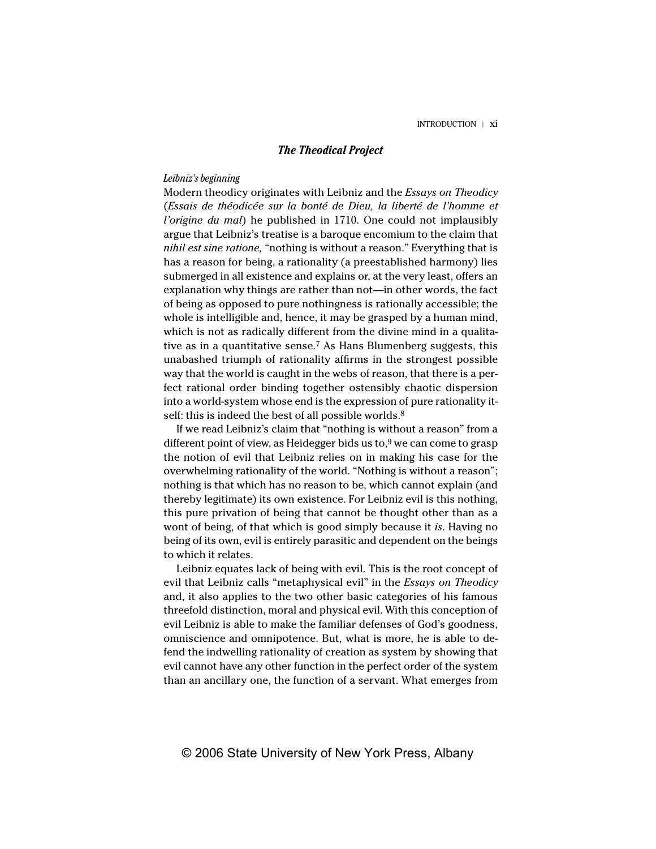# *The Theodical Project*

## *Leibniz's beginning*

Modern theodicy originates with Leibniz and the *Essays on Theodicy* (*Essais de théodicée sur la bonté de Dieu, la liberté de l'homme et l'origine du mal*) he published in 1710. One could not implausibly argue that Leibniz's treatise is a baroque encomium to the claim that *nihil est sine ratione,* "nothing is without a reason." Everything that is has a reason for being, a rationality (a preestablished harmony) lies submerged in all existence and explains or, at the very least, offers an explanation why things are rather than not—in other words, the fact of being as opposed to pure nothingness is rationally accessible; the whole is intelligible and, hence, it may be grasped by a human mind, which is not as radically different from the divine mind in a qualitative as in a quantitative sense.7 As Hans Blumenberg suggests, this unabashed triumph of rationality affirms in the strongest possible way that the world is caught in the webs of reason, that there is a perfect rational order binding together ostensibly chaotic dispersion into a world-system whose end is the expression of pure rationality itself: this is indeed the best of all possible worlds.<sup>8</sup>

If we read Leibniz's claim that "nothing is without a reason" from a different point of view, as Heidegger bids us to, $9$  we can come to grasp the notion of evil that Leibniz relies on in making his case for the overwhelming rationality of the world. "Nothing is without a reason"; nothing is that which has no reason to be, which cannot explain (and thereby legitimate) its own existence. For Leibniz evil is this nothing, this pure privation of being that cannot be thought other than as a wont of being, of that which is good simply because it *is*. Having no being of its own, evil is entirely parasitic and dependent on the beings to which it relates.

Leibniz equates lack of being with evil. This is the root concept of evil that Leibniz calls "metaphysical evil" in the *Essays on Theodicy* and, it also applies to the two other basic categories of his famous threefold distinction, moral and physical evil. With this conception of evil Leibniz is able to make the familiar defenses of God's goodness, omniscience and omnipotence. But, what is more, he is able to defend the indwelling rationality of creation as system by showing that evil cannot have any other function in the perfect order of the system than an ancillary one, the function of a servant. What emerges from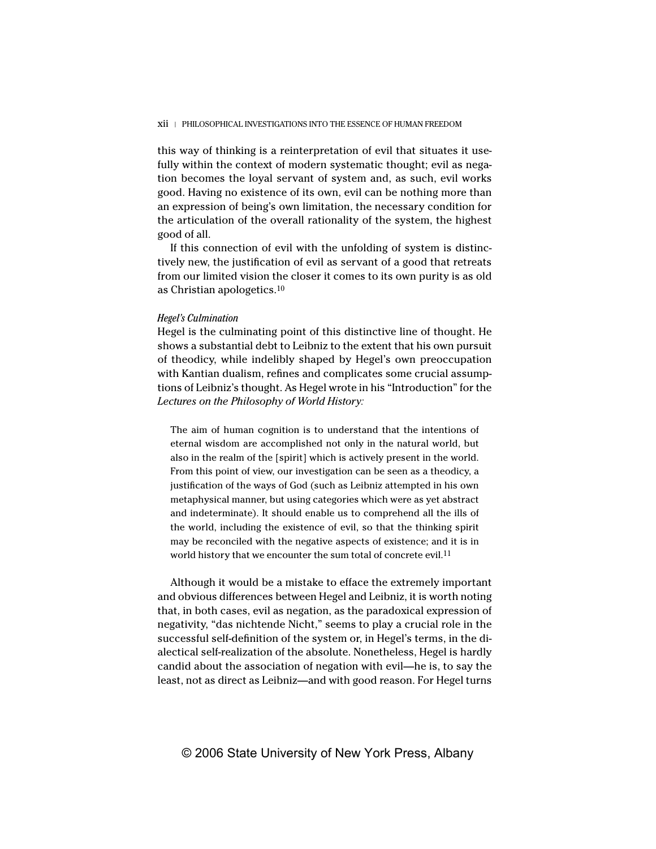#### xii | PHILOSOPHICAL INVESTIGATIONS INTO THE ESSENCE OF HUMAN FREEDOM

this way of thinking is a reinterpretation of evil that situates it usefully within the context of modern systematic thought; evil as negation becomes the loyal servant of system and, as such, evil works good. Having no existence of its own, evil can be nothing more than an expression of being's own limitation, the necessary condition for the articulation of the overall rationality of the system, the highest good of all.

If this connection of evil with the unfolding of system is distinctively new, the justification of evil as servant of a good that retreats from our limited vision the closer it comes to its own purity is as old as Christian apologetics.10

## *Hegel's Culmination*

Hegel is the culminating point of this distinctive line of thought. He shows a substantial debt to Leibniz to the extent that his own pursuit of theodicy, while indelibly shaped by Hegel's own preoccupation with Kantian dualism, refines and complicates some crucial assumptions of Leibniz's thought. As Hegel wrote in his "Introduction" for the *Lectures on the Philosophy of World History:*

The aim of human cognition is to understand that the intentions of eternal wisdom are accomplished not only in the natural world, but also in the realm of the [spirit] which is actively present in the world. From this point of view, our investigation can be seen as a theodicy, a justification of the ways of God (such as Leibniz attempted in his own metaphysical manner, but using categories which were as yet abstract and indeterminate). It should enable us to comprehend all the ills of the world, including the existence of evil, so that the thinking spirit may be reconciled with the negative aspects of existence; and it is in world history that we encounter the sum total of concrete evil.11

Although it would be a mistake to efface the extremely important and obvious differences between Hegel and Leibniz, it is worth noting that, in both cases, evil as negation, as the paradoxical expression of negativity, "das nichtende Nicht," seems to play a crucial role in the successful self-definition of the system or, in Hegel's terms, in the dialectical self-realization of the absolute. Nonetheless, Hegel is hardly candid about the association of negation with evil—he is, to say the least, not as direct as Leibniz—and with good reason. For Hegel turns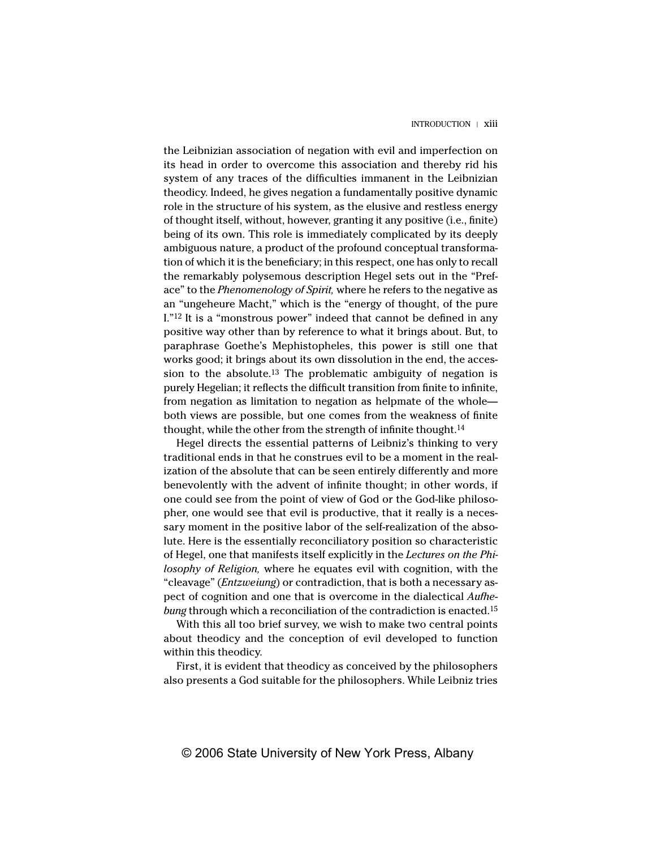the Leibnizian association of negation with evil and imperfection on its head in order to overcome this association and thereby rid his system of any traces of the difficulties immanent in the Leibnizian theodicy. Indeed, he gives negation a fundamentally positive dynamic role in the structure of his system, as the elusive and restless energy of thought itself, without, however, granting it any positive (i.e., finite) being of its own. This role is immediately complicated by its deeply ambiguous nature, a product of the profound conceptual transformation of which it is the beneficiary; in this respect, one has only to recall the remarkably polysemous description Hegel sets out in the "Preface" to the *Phenomenology of Spirit,* where he refers to the negative as an "ungeheure Macht," which is the "energy of thought, of the pure I."12 It is a "monstrous power" indeed that cannot be defined in any positive way other than by reference to what it brings about. But, to paraphrase Goethe's Mephistopheles, this power is still one that works good; it brings about its own dissolution in the end, the accession to the absolute.13 The problematic ambiguity of negation is purely Hegelian; it reflects the difficult transition from finite to infinite, from negation as limitation to negation as helpmate of the whole both views are possible, but one comes from the weakness of finite thought, while the other from the strength of infinite thought.14

Hegel directs the essential patterns of Leibniz's thinking to very traditional ends in that he construes evil to be a moment in the realization of the absolute that can be seen entirely differently and more benevolently with the advent of infinite thought; in other words, if one could see from the point of view of God or the God-like philosopher, one would see that evil is productive, that it really is a necessary moment in the positive labor of the self-realization of the absolute. Here is the essentially reconciliatory position so characteristic of Hegel, one that manifests itself explicitly in the *Lectures on the Philosophy of Religion,* where he equates evil with cognition, with the "cleavage" (*Entzweiung*) or contradiction, that is both a necessary aspect of cognition and one that is overcome in the dialectical *Aufhebung* through which a reconciliation of the contradiction is enacted.15

With this all too brief survey, we wish to make two central points about theodicy and the conception of evil developed to function within this theodicy.

First, it is evident that theodicy as conceived by the philosophers also presents a God suitable for the philosophers. While Leibniz tries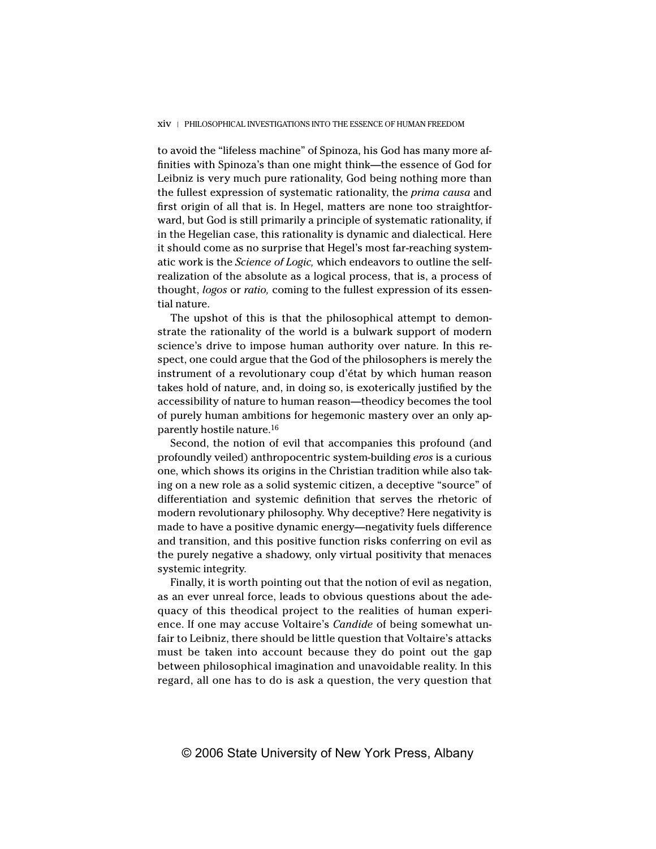to avoid the "lifeless machine" of Spinoza, his God has many more affinities with Spinoza's than one might think—the essence of God for Leibniz is very much pure rationality, God being nothing more than the fullest expression of systematic rationality, the *prima causa* and first origin of all that is. In Hegel, matters are none too straightforward, but God is still primarily a principle of systematic rationality, if in the Hegelian case, this rationality is dynamic and dialectical. Here it should come as no surprise that Hegel's most far-reaching systematic work is the *Science of Logic,* which endeavors to outline the selfrealization of the absolute as a logical process, that is, a process of thought, *logos* or *ratio,* coming to the fullest expression of its essential nature.

The upshot of this is that the philosophical attempt to demonstrate the rationality of the world is a bulwark support of modern science's drive to impose human authority over nature. In this respect, one could argue that the God of the philosophers is merely the instrument of a revolutionary coup d'état by which human reason takes hold of nature, and, in doing so, is exoterically justified by the accessibility of nature to human reason—theodicy becomes the tool of purely human ambitions for hegemonic mastery over an only apparently hostile nature.16

Second, the notion of evil that accompanies this profound (and profoundly veiled) anthropocentric system-building *eros* is a curious one, which shows its origins in the Christian tradition while also taking on a new role as a solid systemic citizen, a deceptive "source" of differentiation and systemic definition that serves the rhetoric of modern revolutionary philosophy. Why deceptive? Here negativity is made to have a positive dynamic energy—negativity fuels difference and transition, and this positive function risks conferring on evil as the purely negative a shadowy, only virtual positivity that menaces systemic integrity.

Finally, it is worth pointing out that the notion of evil as negation, as an ever unreal force, leads to obvious questions about the adequacy of this theodical project to the realities of human experience. If one may accuse Voltaire's *Candide* of being somewhat unfair to Leibniz, there should be little question that Voltaire's attacks must be taken into account because they do point out the gap between philosophical imagination and unavoidable reality. In this regard, all one has to do is ask a question, the very question that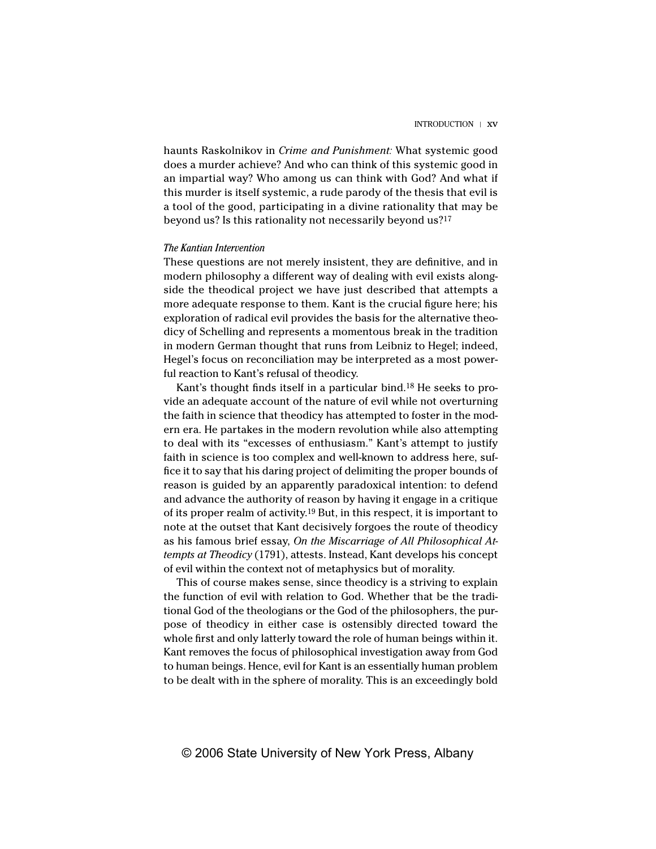haunts Raskolnikov in *Crime and Punishment:* What systemic good does a murder achieve? And who can think of this systemic good in an impartial way? Who among us can think with God? And what if this murder is itself systemic, a rude parody of the thesis that evil is a tool of the good, participating in a divine rationality that may be beyond us? Is this rationality not necessarily beyond us?17

## *The Kantian Intervention*

These questions are not merely insistent, they are definitive, and in modern philosophy a different way of dealing with evil exists alongside the theodical project we have just described that attempts a more adequate response to them. Kant is the crucial figure here; his exploration of radical evil provides the basis for the alternative theodicy of Schelling and represents a momentous break in the tradition in modern German thought that runs from Leibniz to Hegel; indeed, Hegel's focus on reconciliation may be interpreted as a most powerful reaction to Kant's refusal of theodicy.

Kant's thought finds itself in a particular bind.<sup>18</sup> He seeks to provide an adequate account of the nature of evil while not overturning the faith in science that theodicy has attempted to foster in the modern era. He partakes in the modern revolution while also attempting to deal with its "excesses of enthusiasm." Kant's attempt to justify faith in science is too complex and well-known to address here, suffice it to say that his daring project of delimiting the proper bounds of reason is guided by an apparently paradoxical intention: to defend and advance the authority of reason by having it engage in a critique of its proper realm of activity.19 But, in this respect, it is important to note at the outset that Kant decisively forgoes the route of theodicy as his famous brief essay, *On the Miscarriage of All Philosophical Attempts at Theodicy* (1791), attests. Instead, Kant develops his concept of evil within the context not of metaphysics but of morality.

This of course makes sense, since theodicy is a striving to explain the function of evil with relation to God. Whether that be the traditional God of the theologians or the God of the philosophers, the purpose of theodicy in either case is ostensibly directed toward the whole first and only latterly toward the role of human beings within it. Kant removes the focus of philosophical investigation away from God to human beings. Hence, evil for Kant is an essentially human problem to be dealt with in the sphere of morality. This is an exceedingly bold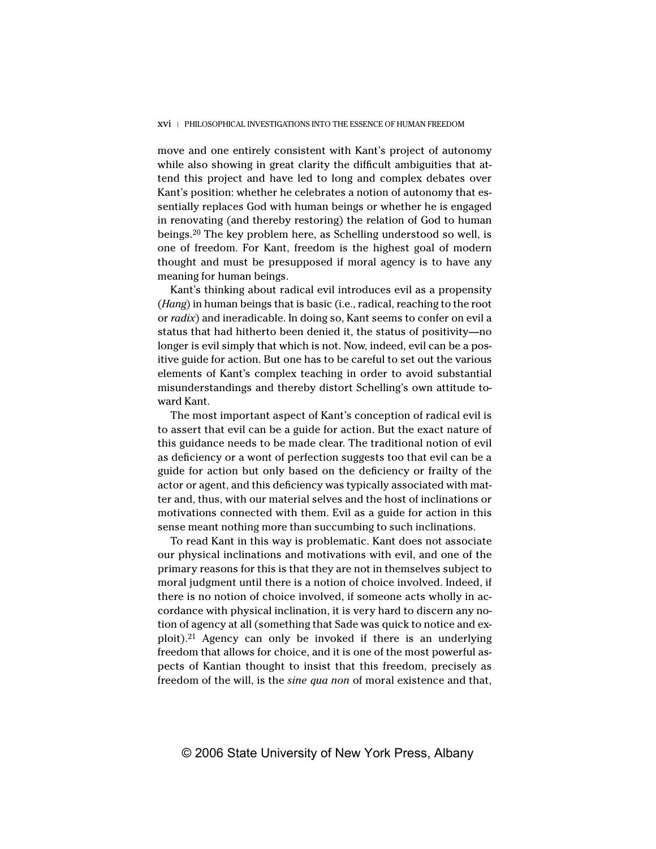move and one entirely consistent with Kant's project of autonomy while also showing in great clarity the difficult ambiguities that attend this project and have led to long and complex debates over Kant's position: whether he celebrates a notion of autonomy that essentially replaces God with human beings or whether he is engaged in renovating (and thereby restoring) the relation of God to human beings.20 The key problem here, as Schelling understood so well, is one of freedom. For Kant, freedom is the highest goal of modern thought and must be presupposed if moral agency is to have any meaning for human beings.

Kant's thinking about radical evil introduces evil as a propensity (*Hang*) in human beings that is basic (i.e., radical, reaching to the root or *radix*) and ineradicable. In doing so, Kant seems to confer on evil a status that had hitherto been denied it, the status of positivity—no longer is evil simply that which is not. Now, indeed, evil can be a positive guide for action. But one has to be careful to set out the various elements of Kant's complex teaching in order to avoid substantial misunderstandings and thereby distort Schelling's own attitude toward Kant.

The most important aspect of Kant's conception of radical evil is to assert that evil can be a guide for action. But the exact nature of this guidance needs to be made clear. The traditional notion of evil as deficiency or a wont of perfection suggests too that evil can be a guide for action but only based on the deficiency or frailty of the actor or agent, and this deficiency was typically associated with matter and, thus, with our material selves and the host of inclinations or motivations connected with them. Evil as a guide for action in this sense meant nothing more than succumbing to such inclinations.

To read Kant in this way is problematic. Kant does not associate our physical inclinations and motivations with evil, and one of the primary reasons for this is that they are not in themselves subject to moral judgment until there is a notion of choice involved. Indeed, if there is no notion of choice involved, if someone acts wholly in accordance with physical inclination, it is very hard to discern any notion of agency at all (something that Sade was quick to notice and exploit).21 Agency can only be invoked if there is an underlying freedom that allows for choice, and it is one of the most powerful aspects of Kantian thought to insist that this freedom, precisely as freedom of the will, is the *sine qua non* of moral existence and that,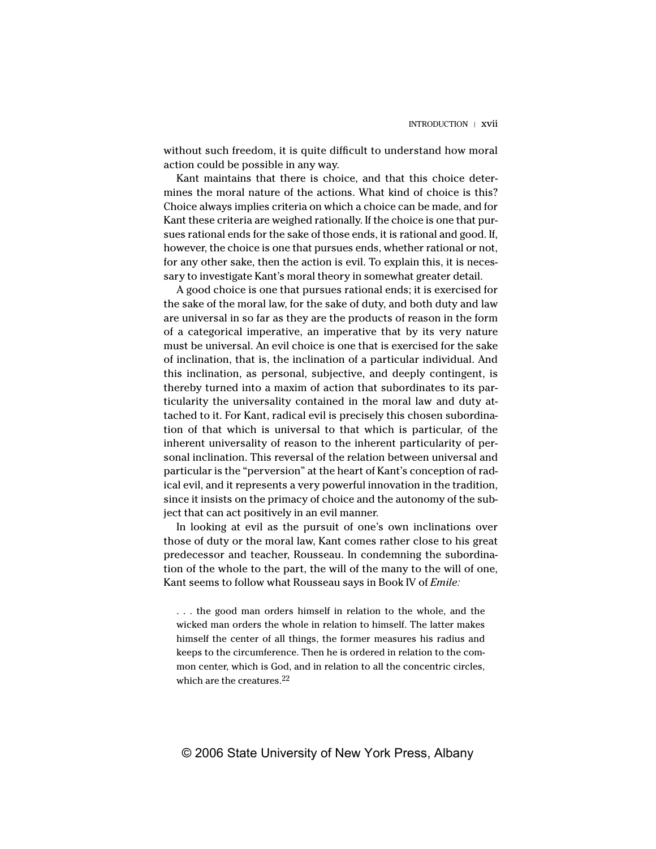without such freedom, it is quite difficult to understand how moral action could be possible in any way.

Kant maintains that there is choice, and that this choice determines the moral nature of the actions. What kind of choice is this? Choice always implies criteria on which a choice can be made, and for Kant these criteria are weighed rationally. If the choice is one that pursues rational ends for the sake of those ends, it is rational and good. If, however, the choice is one that pursues ends, whether rational or not, for any other sake, then the action is evil. To explain this, it is necessary to investigate Kant's moral theory in somewhat greater detail.

A good choice is one that pursues rational ends; it is exercised for the sake of the moral law, for the sake of duty, and both duty and law are universal in so far as they are the products of reason in the form of a categorical imperative, an imperative that by its very nature must be universal. An evil choice is one that is exercised for the sake of inclination, that is, the inclination of a particular individual. And this inclination, as personal, subjective, and deeply contingent, is thereby turned into a maxim of action that subordinates to its particularity the universality contained in the moral law and duty attached to it. For Kant, radical evil is precisely this chosen subordination of that which is universal to that which is particular, of the inherent universality of reason to the inherent particularity of personal inclination. This reversal of the relation between universal and particular is the "perversion" at the heart of Kant's conception of radical evil, and it represents a very powerful innovation in the tradition, since it insists on the primacy of choice and the autonomy of the subject that can act positively in an evil manner.

In looking at evil as the pursuit of one's own inclinations over those of duty or the moral law, Kant comes rather close to his great predecessor and teacher, Rousseau. In condemning the subordination of the whole to the part, the will of the many to the will of one, Kant seems to follow what Rousseau says in Book IV of *Emile:*

. . . the good man orders himself in relation to the whole, and the wicked man orders the whole in relation to himself. The latter makes himself the center of all things, the former measures his radius and keeps to the circumference. Then he is ordered in relation to the common center, which is God, and in relation to all the concentric circles, which are the creatures.<sup>22</sup>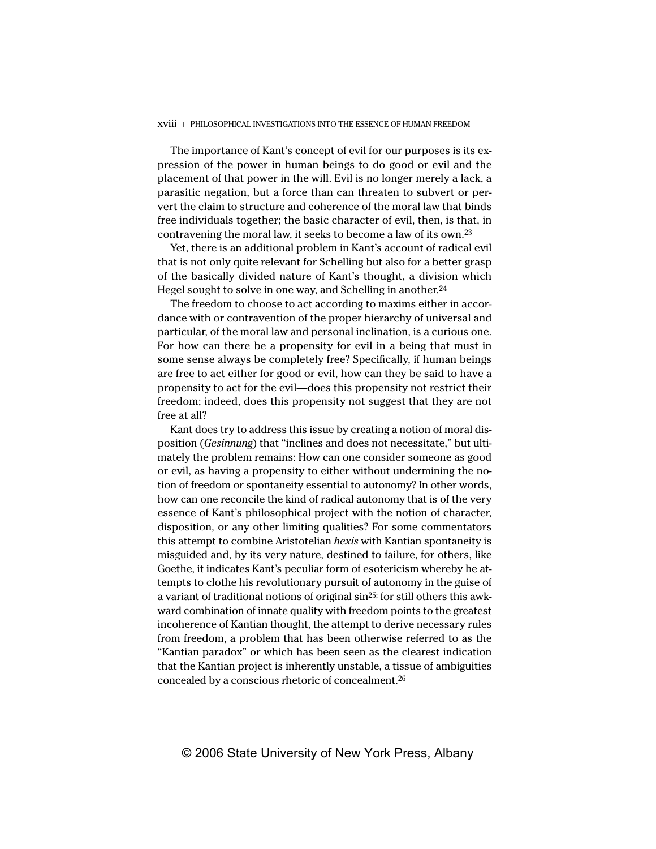### xviii | PHILOSOPHICAL INVESTIGATIONS INTO THE ESSENCE OF HUMAN FREEDOM

The importance of Kant's concept of evil for our purposes is its expression of the power in human beings to do good or evil and the placement of that power in the will. Evil is no longer merely a lack, a parasitic negation, but a force than can threaten to subvert or pervert the claim to structure and coherence of the moral law that binds free individuals together; the basic character of evil, then, is that, in contravening the moral law, it seeks to become a law of its own.23

Yet, there is an additional problem in Kant's account of radical evil that is not only quite relevant for Schelling but also for a better grasp of the basically divided nature of Kant's thought, a division which Hegel sought to solve in one way, and Schelling in another.<sup>24</sup>

The freedom to choose to act according to maxims either in accordance with or contravention of the proper hierarchy of universal and particular, of the moral law and personal inclination, is a curious one. For how can there be a propensity for evil in a being that must in some sense always be completely free? Specifically, if human beings are free to act either for good or evil, how can they be said to have a propensity to act for the evil—does this propensity not restrict their freedom; indeed, does this propensity not suggest that they are not free at all?

Kant does try to address this issue by creating a notion of moral disposition (*Gesinnung*) that "inclines and does not necessitate," but ultimately the problem remains: How can one consider someone as good or evil, as having a propensity to either without undermining the notion of freedom or spontaneity essential to autonomy? In other words, how can one reconcile the kind of radical autonomy that is of the very essence of Kant's philosophical project with the notion of character, disposition, or any other limiting qualities? For some commentators this attempt to combine Aristotelian *hexis* with Kantian spontaneity is misguided and, by its very nature, destined to failure, for others, like Goethe, it indicates Kant's peculiar form of esotericism whereby he attempts to clothe his revolutionary pursuit of autonomy in the guise of a variant of traditional notions of original sin25; for still others this awkward combination of innate quality with freedom points to the greatest incoherence of Kantian thought, the attempt to derive necessary rules from freedom, a problem that has been otherwise referred to as the "Kantian paradox" or which has been seen as the clearest indication that the Kantian project is inherently unstable, a tissue of ambiguities concealed by a conscious rhetoric of concealment.26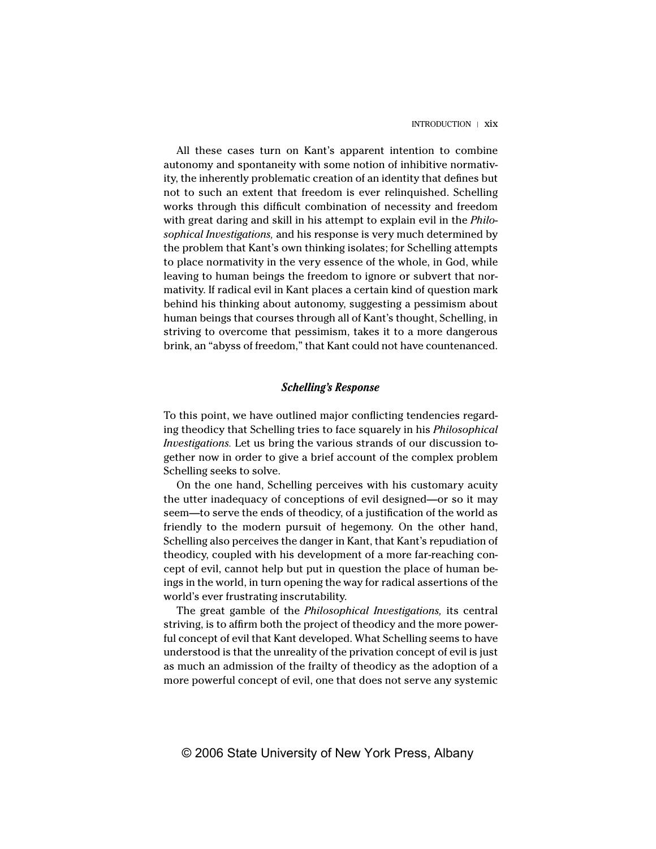All these cases turn on Kant's apparent intention to combine autonomy and spontaneity with some notion of inhibitive normativity, the inherently problematic creation of an identity that defines but not to such an extent that freedom is ever relinquished. Schelling works through this difficult combination of necessity and freedom with great daring and skill in his attempt to explain evil in the *Philosophical Investigations,* and his response is very much determined by the problem that Kant's own thinking isolates; for Schelling attempts to place normativity in the very essence of the whole, in God, while leaving to human beings the freedom to ignore or subvert that normativity. If radical evil in Kant places a certain kind of question mark behind his thinking about autonomy, suggesting a pessimism about human beings that courses through all of Kant's thought, Schelling, in striving to overcome that pessimism, takes it to a more dangerous brink, an "abyss of freedom," that Kant could not have countenanced.

# *Schelling's Response*

To this point, we have outlined major conflicting tendencies regarding theodicy that Schelling tries to face squarely in his *Philosophical Investigations.* Let us bring the various strands of our discussion together now in order to give a brief account of the complex problem Schelling seeks to solve.

On the one hand, Schelling perceives with his customary acuity the utter inadequacy of conceptions of evil designed—or so it may seem—to serve the ends of theodicy, of a justification of the world as friendly to the modern pursuit of hegemony. On the other hand, Schelling also perceives the danger in Kant, that Kant's repudiation of theodicy, coupled with his development of a more far-reaching concept of evil, cannot help but put in question the place of human beings in the world, in turn opening the way for radical assertions of the world's ever frustrating inscrutability.

The great gamble of the *Philosophical Investigations,* its central striving, is to affirm both the project of theodicy and the more powerful concept of evil that Kant developed. What Schelling seems to have understood is that the unreality of the privation concept of evil is just as much an admission of the frailty of theodicy as the adoption of a more powerful concept of evil, one that does not serve any systemic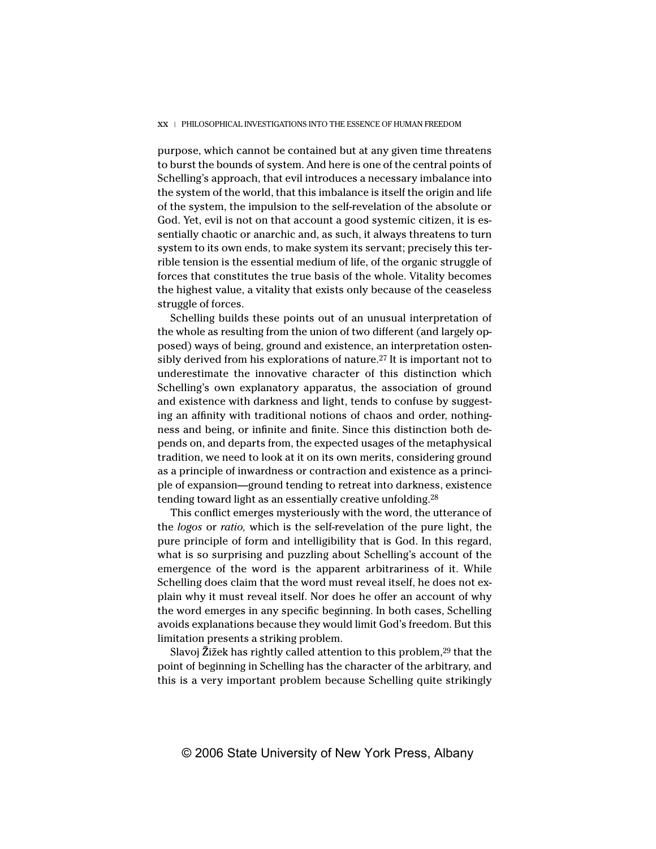purpose, which cannot be contained but at any given time threatens to burst the bounds of system. And here is one of the central points of Schelling's approach, that evil introduces a necessary imbalance into the system of the world, that this imbalance is itself the origin and life of the system, the impulsion to the self-revelation of the absolute or God. Yet, evil is not on that account a good systemic citizen, it is essentially chaotic or anarchic and, as such, it always threatens to turn system to its own ends, to make system its servant; precisely this terrible tension is the essential medium of life, of the organic struggle of forces that constitutes the true basis of the whole. Vitality becomes the highest value, a vitality that exists only because of the ceaseless struggle of forces.

Schelling builds these points out of an unusual interpretation of the whole as resulting from the union of two different (and largely opposed) ways of being, ground and existence, an interpretation ostensibly derived from his explorations of nature.27 It is important not to underestimate the innovative character of this distinction which Schelling's own explanatory apparatus, the association of ground and existence with darkness and light, tends to confuse by suggesting an affinity with traditional notions of chaos and order, nothingness and being, or infinite and finite. Since this distinction both depends on, and departs from, the expected usages of the metaphysical tradition, we need to look at it on its own merits, considering ground as a principle of inwardness or contraction and existence as a principle of expansion—ground tending to retreat into darkness, existence tending toward light as an essentially creative unfolding.28

This conflict emerges mysteriously with the word, the utterance of the *logos* or *ratio,* which is the self-revelation of the pure light, the pure principle of form and intelligibility that is God. In this regard, what is so surprising and puzzling about Schelling's account of the emergence of the word is the apparent arbitrariness of it. While Schelling does claim that the word must reveal itself, he does not explain why it must reveal itself. Nor does he offer an account of why the word emerges in any specific beginning. In both cases, Schelling avoids explanations because they would limit God's freedom. But this limitation presents a striking problem.

Slavoj  $\tilde{Z}$ ižek has rightly called attention to this problem,<sup>29</sup> that the point of beginning in Schelling has the character of the arbitrary, and this is a very important problem because Schelling quite strikingly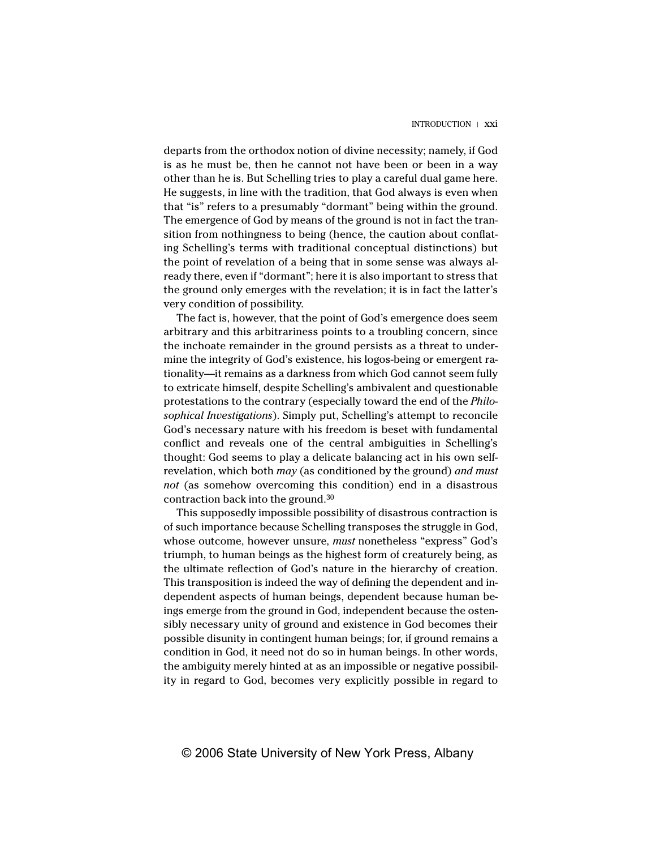departs from the orthodox notion of divine necessity; namely, if God is as he must be, then he cannot not have been or been in a way other than he is. But Schelling tries to play a careful dual game here. He suggests, in line with the tradition, that God always is even when that "is" refers to a presumably "dormant" being within the ground. The emergence of God by means of the ground is not in fact the transition from nothingness to being (hence, the caution about conflating Schelling's terms with traditional conceptual distinctions) but the point of revelation of a being that in some sense was always already there, even if "dormant"; here it is also important to stress that the ground only emerges with the revelation; it is in fact the latter's very condition of possibility.

The fact is, however, that the point of God's emergence does seem arbitrary and this arbitrariness points to a troubling concern, since the inchoate remainder in the ground persists as a threat to undermine the integrity of God's existence, his logos-being or emergent rationality—it remains as a darkness from which God cannot seem fully to extricate himself, despite Schelling's ambivalent and questionable protestations to the contrary (especially toward the end of the *Philosophical Investigations*). Simply put, Schelling's attempt to reconcile God's necessary nature with his freedom is beset with fundamental conflict and reveals one of the central ambiguities in Schelling's thought: God seems to play a delicate balancing act in his own selfrevelation, which both *may* (as conditioned by the ground) *and must not* (as somehow overcoming this condition) end in a disastrous contraction back into the ground.30

This supposedly impossible possibility of disastrous contraction is of such importance because Schelling transposes the struggle in God, whose outcome, however unsure, *must* nonetheless "express" God's triumph, to human beings as the highest form of creaturely being, as the ultimate reflection of God's nature in the hierarchy of creation. This transposition is indeed the way of defining the dependent and independent aspects of human beings, dependent because human beings emerge from the ground in God, independent because the ostensibly necessary unity of ground and existence in God becomes their possible disunity in contingent human beings; for, if ground remains a condition in God, it need not do so in human beings. In other words, the ambiguity merely hinted at as an impossible or negative possibility in regard to God, becomes very explicitly possible in regard to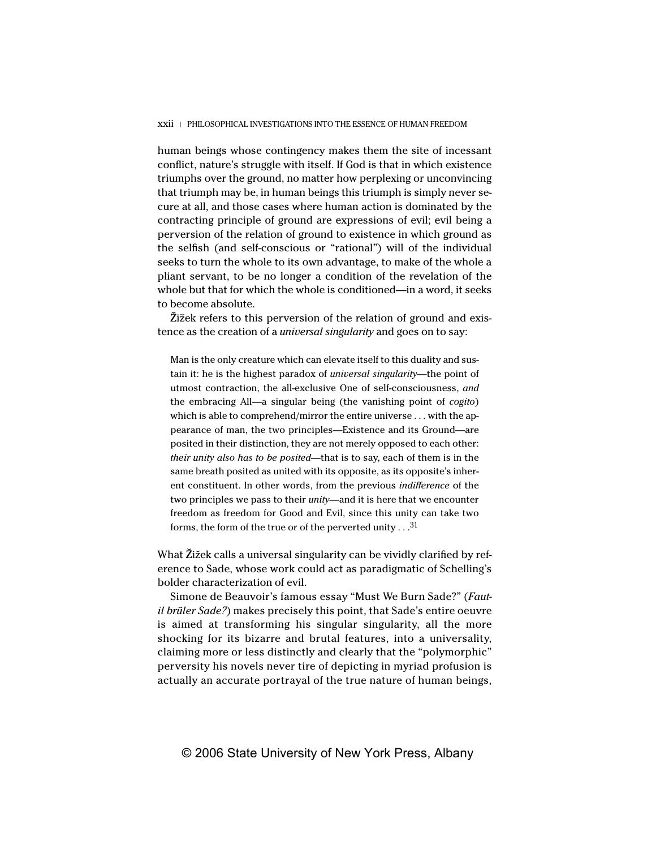human beings whose contingency makes them the site of incessant conflict, nature's struggle with itself. If God is that in which existence triumphs over the ground, no matter how perplexing or unconvincing that triumph may be, in human beings this triumph is simply never secure at all, and those cases where human action is dominated by the contracting principle of ground are expressions of evil; evil being a perversion of the relation of ground to existence in which ground as the selfish (and self-conscious or "rational") will of the individual seeks to turn the whole to its own advantage, to make of the whole a pliant servant, to be no longer a condition of the revelation of the whole but that for which the whole is conditioned—in a word, it seeks to become absolute.

**Žižek refers to this perversion of the relation of ground and exis**tence as the creation of a *universal singularity* and goes on to say:

Man is the only creature which can elevate itself to this duality and sustain it: he is the highest paradox of *universal singularity*—the point of utmost contraction, the all-exclusive One of self-consciousness, *and* the embracing All—a singular being (the vanishing point of *cogito*) which is able to comprehend/mirror the entire universe . . . with the appearance of man, the two principles—Existence and its Ground—are posited in their distinction, they are not merely opposed to each other: *their unity also has to be posited*—that is to say, each of them is in the same breath posited as united with its opposite, as its opposite's inherent constituent. In other words, from the previous *indifference* of the two principles we pass to their *unity*—and it is here that we encounter freedom as freedom for Good and Evil, since this unity can take two forms, the form of the true or of the perverted unity  $\dots$ <sup>31</sup>

What Žižek calls a universal singularity can be vividly clarified by reference to Sade, whose work could act as paradigmatic of Schelling's bolder characterization of evil.

Simone de Beauvoir's famous essay "Must We Burn Sade?" (*Fautil brûler Sade?*) makes precisely this point, that Sade's entire oeuvre is aimed at transforming his singular singularity, all the more shocking for its bizarre and brutal features, into a universality, claiming more or less distinctly and clearly that the "polymorphic" perversity his novels never tire of depicting in myriad profusion is actually an accurate portrayal of the true nature of human beings,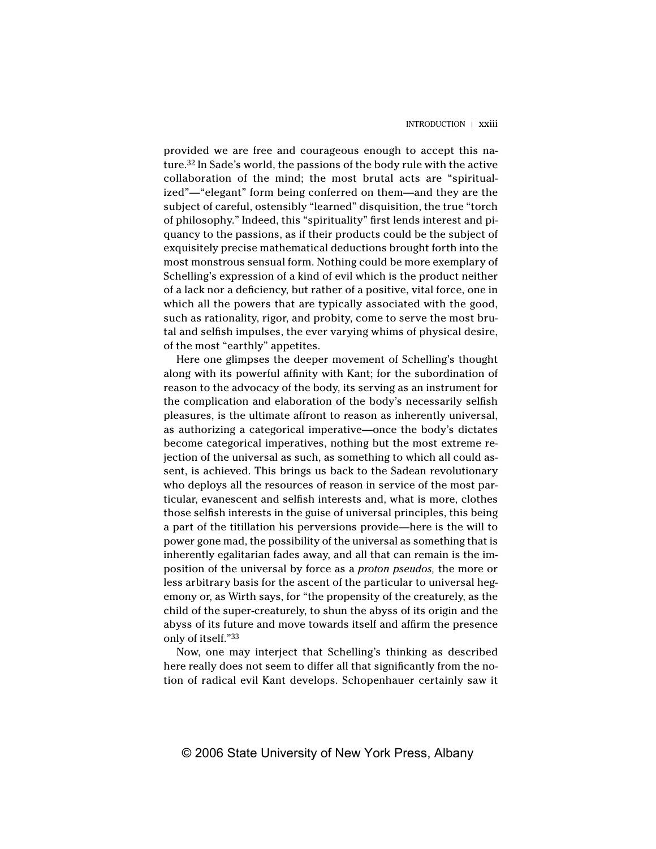provided we are free and courageous enough to accept this nature.32 In Sade's world, the passions of the body rule with the active collaboration of the mind; the most brutal acts are "spiritualized"—"elegant" form being conferred on them—and they are the subject of careful, ostensibly "learned" disquisition, the true "torch of philosophy." Indeed, this "spirituality" first lends interest and piquancy to the passions, as if their products could be the subject of exquisitely precise mathematical deductions brought forth into the most monstrous sensual form. Nothing could be more exemplary of Schelling's expression of a kind of evil which is the product neither of a lack nor a deficiency, but rather of a positive, vital force, one in which all the powers that are typically associated with the good, such as rationality, rigor, and probity, come to serve the most brutal and selfish impulses, the ever varying whims of physical desire, of the most "earthly" appetites.

Here one glimpses the deeper movement of Schelling's thought along with its powerful affinity with Kant; for the subordination of reason to the advocacy of the body, its serving as an instrument for the complication and elaboration of the body's necessarily selfish pleasures, is the ultimate affront to reason as inherently universal, as authorizing a categorical imperative—once the body's dictates become categorical imperatives, nothing but the most extreme rejection of the universal as such, as something to which all could assent, is achieved. This brings us back to the Sadean revolutionary who deploys all the resources of reason in service of the most particular, evanescent and selfish interests and, what is more, clothes those selfish interests in the guise of universal principles, this being a part of the titillation his perversions provide—here is the will to power gone mad, the possibility of the universal as something that is inherently egalitarian fades away, and all that can remain is the imposition of the universal by force as a *proton pseudos,* the more or less arbitrary basis for the ascent of the particular to universal hegemony or, as Wirth says, for "the propensity of the creaturely, as the child of the super-creaturely, to shun the abyss of its origin and the abyss of its future and move towards itself and affirm the presence only of itself."33

Now, one may interject that Schelling's thinking as described here really does not seem to differ all that significantly from the notion of radical evil Kant develops. Schopenhauer certainly saw it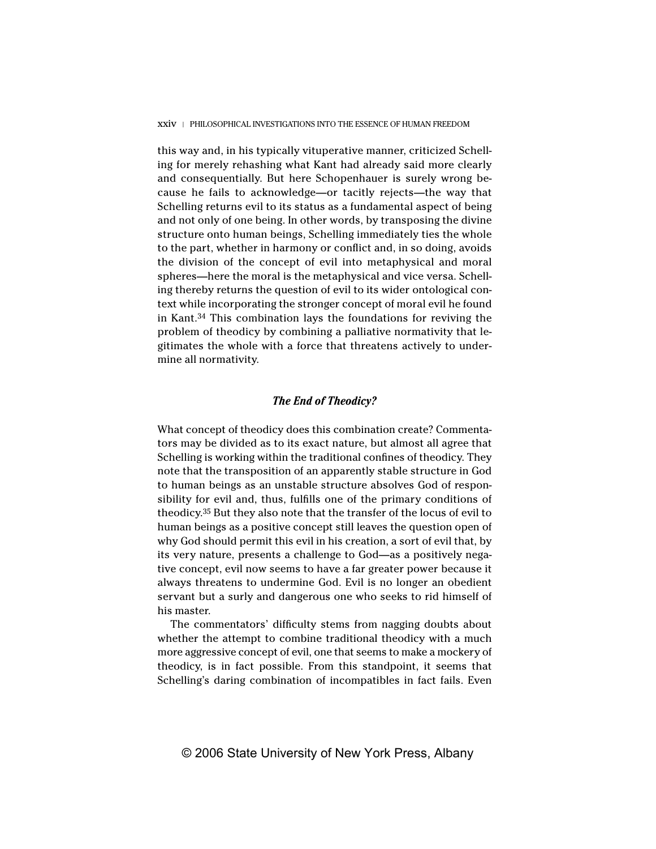this way and, in his typically vituperative manner, criticized Schelling for merely rehashing what Kant had already said more clearly and consequentially. But here Schopenhauer is surely wrong because he fails to acknowledge—or tacitly rejects—the way that Schelling returns evil to its status as a fundamental aspect of being and not only of one being. In other words, by transposing the divine structure onto human beings, Schelling immediately ties the whole to the part, whether in harmony or conflict and, in so doing, avoids the division of the concept of evil into metaphysical and moral spheres—here the moral is the metaphysical and vice versa. Schelling thereby returns the question of evil to its wider ontological context while incorporating the stronger concept of moral evil he found in Kant.34 This combination lays the foundations for reviving the problem of theodicy by combining a palliative normativity that legitimates the whole with a force that threatens actively to undermine all normativity.

# *The End of Theodicy?*

What concept of theodicy does this combination create? Commentators may be divided as to its exact nature, but almost all agree that Schelling is working within the traditional confines of theodicy. They note that the transposition of an apparently stable structure in God to human beings as an unstable structure absolves God of responsibility for evil and, thus, fulfills one of the primary conditions of theodicy.35 But they also note that the transfer of the locus of evil to human beings as a positive concept still leaves the question open of why God should permit this evil in his creation, a sort of evil that, by its very nature, presents a challenge to God—as a positively negative concept, evil now seems to have a far greater power because it always threatens to undermine God. Evil is no longer an obedient servant but a surly and dangerous one who seeks to rid himself of his master.

The commentators' difficulty stems from nagging doubts about whether the attempt to combine traditional theodicy with a much more aggressive concept of evil, one that seems to make a mockery of theodicy, is in fact possible. From this standpoint, it seems that Schelling's daring combination of incompatibles in fact fails. Even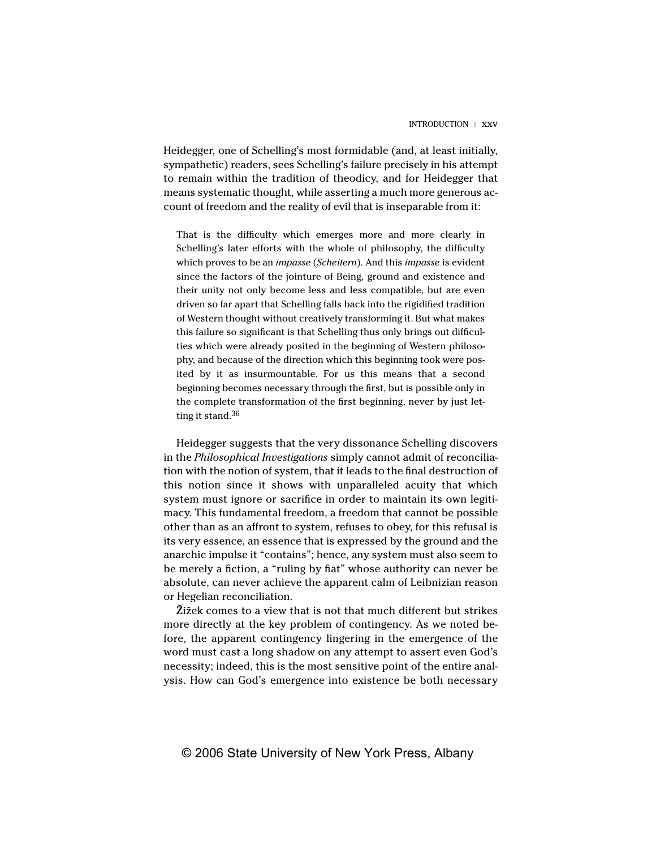Heidegger, one of Schelling's most formidable (and, at least initially, sympathetic) readers, sees Schelling's failure precisely in his attempt to remain within the tradition of theodicy, and for Heidegger that means systematic thought, while asserting a much more generous account of freedom and the reality of evil that is inseparable from it:

That is the difficulty which emerges more and more clearly in Schelling's later efforts with the whole of philosophy, the difficulty which proves to be an *impasse* (*Scheitern*). And this *impasse* is evident since the factors of the jointure of Being, ground and existence and their unity not only become less and less compatible, but are even driven so far apart that Schelling falls back into the rigidified tradition of Western thought without creatively transforming it. But what makes this failure so significant is that Schelling thus only brings out difficulties which were already posited in the beginning of Western philosophy, and because of the direction which this beginning took were posited by it as insurmountable. For us this means that a second beginning becomes necessary through the first, but is possible only in the complete transformation of the first beginning, never by just letting it stand.36

Heidegger suggests that the very dissonance Schelling discovers in the *Philosophical Investigations* simply cannot admit of reconciliation with the notion of system, that it leads to the final destruction of this notion since it shows with unparalleled acuity that which system must ignore or sacrifice in order to maintain its own legitimacy. This fundamental freedom, a freedom that cannot be possible other than as an affront to system, refuses to obey, for this refusal is its very essence, an essence that is expressed by the ground and the anarchic impulse it "contains"; hence, any system must also seem to be merely a fiction, a "ruling by fiat" whose authority can never be absolute, can never achieve the apparent calm of Leibnizian reason or Hegelian reconciliation.

Žižek comes to a view that is not that much different but strikes more directly at the key problem of contingency. As we noted before, the apparent contingency lingering in the emergence of the word must cast a long shadow on any attempt to assert even God's necessity; indeed, this is the most sensitive point of the entire analysis. How can God's emergence into existence be both necessary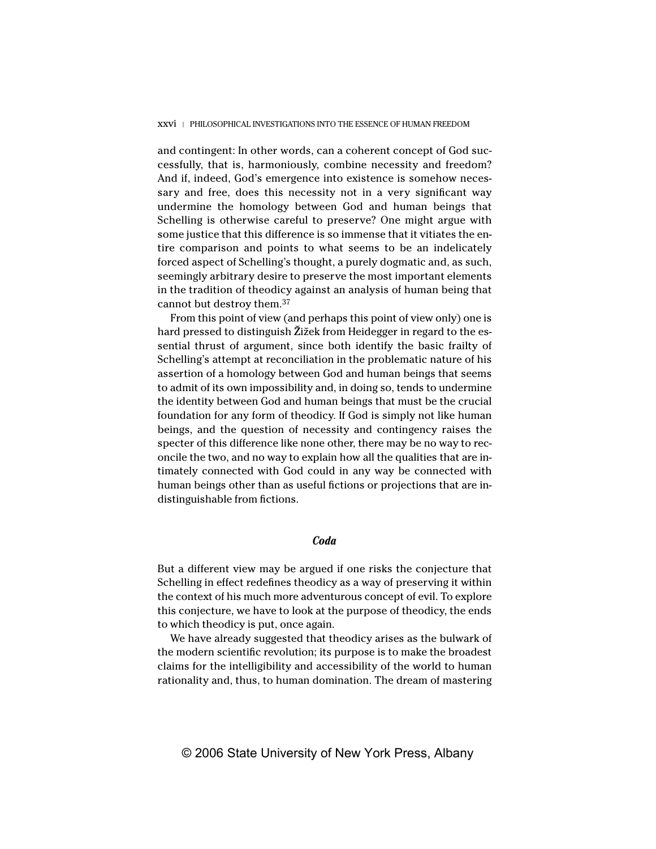#### xxvi | PHILOSOPHICAL INVESTIGATIONS INTO THE ESSENCE OF HUMAN FREEDOM

and contingent: In other words, can a coherent concept of God successfully, that is, harmoniously, combine necessity and freedom? And if, indeed, God's emergence into existence is somehow necessary and free, does this necessity not in a very significant way undermine the homology between God and human beings that Schelling is otherwise careful to preserve? One might argue with some justice that this difference is so immense that it vitiates the entire comparison and points to what seems to be an indelicately forced aspect of Schelling's thought, a purely dogmatic and, as such, seemingly arbitrary desire to preserve the most important elements in the tradition of theodicy against an analysis of human being that cannot but destroy them.37

From this point of view (and perhaps this point of view only) one is hard pressed to distinguish Žižek from Heidegger in regard to the essential thrust of argument, since both identify the basic frailty of Schelling's attempt at reconciliation in the problematic nature of his assertion of a homology between God and human beings that seems to admit of its own impossibility and, in doing so, tends to undermine the identity between God and human beings that must be the crucial foundation for any form of theodicy. If God is simply not like human beings, and the question of necessity and contingency raises the specter of this difference like none other, there may be no way to reconcile the two, and no way to explain how all the qualities that are intimately connected with God could in any way be connected with human beings other than as useful fictions or projections that are indistinguishable from fictions.

## *Coda*

But a different view may be argued if one risks the conjecture that Schelling in effect redefines theodicy as a way of preserving it within the context of his much more adventurous concept of evil. To explore this conjecture, we have to look at the purpose of theodicy, the ends to which theodicy is put, once again.

We have already suggested that theodicy arises as the bulwark of the modern scientific revolution; its purpose is to make the broadest claims for the intelligibility and accessibility of the world to human rationality and, thus, to human domination. The dream of mastering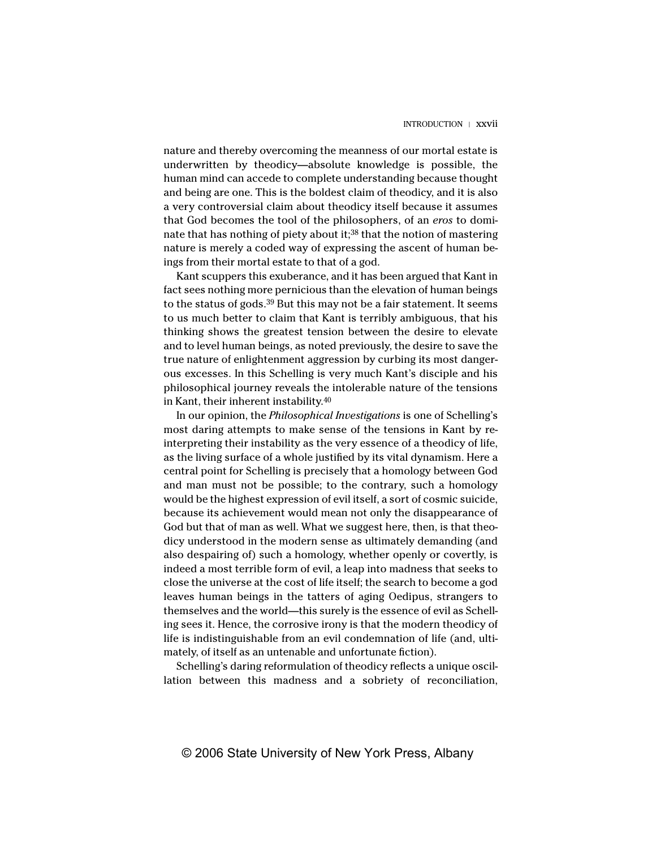nature and thereby overcoming the meanness of our mortal estate is underwritten by theodicy—absolute knowledge is possible, the human mind can accede to complete understanding because thought and being are one. This is the boldest claim of theodicy, and it is also a very controversial claim about theodicy itself because it assumes that God becomes the tool of the philosophers, of an *eros* to dominate that has nothing of piety about it;38 that the notion of mastering nature is merely a coded way of expressing the ascent of human beings from their mortal estate to that of a god.

Kant scuppers this exuberance, and it has been argued that Kant in fact sees nothing more pernicious than the elevation of human beings to the status of gods.39 But this may not be a fair statement. It seems to us much better to claim that Kant is terribly ambiguous, that his thinking shows the greatest tension between the desire to elevate and to level human beings, as noted previously, the desire to save the true nature of enlightenment aggression by curbing its most dangerous excesses. In this Schelling is very much Kant's disciple and his philosophical journey reveals the intolerable nature of the tensions in Kant, their inherent instability.40

In our opinion, the *Philosophical Investigations* is one of Schelling's most daring attempts to make sense of the tensions in Kant by reinterpreting their instability as the very essence of a theodicy of life, as the living surface of a whole justified by its vital dynamism. Here a central point for Schelling is precisely that a homology between God and man must not be possible; to the contrary, such a homology would be the highest expression of evil itself, a sort of cosmic suicide, because its achievement would mean not only the disappearance of God but that of man as well. What we suggest here, then, is that theodicy understood in the modern sense as ultimately demanding (and also despairing of) such a homology, whether openly or covertly, is indeed a most terrible form of evil, a leap into madness that seeks to close the universe at the cost of life itself; the search to become a god leaves human beings in the tatters of aging Oedipus, strangers to themselves and the world—this surely is the essence of evil as Schelling sees it. Hence, the corrosive irony is that the modern theodicy of life is indistinguishable from an evil condemnation of life (and, ultimately, of itself as an untenable and unfortunate fiction).

Schelling's daring reformulation of theodicy reflects a unique oscillation between this madness and a sobriety of reconciliation,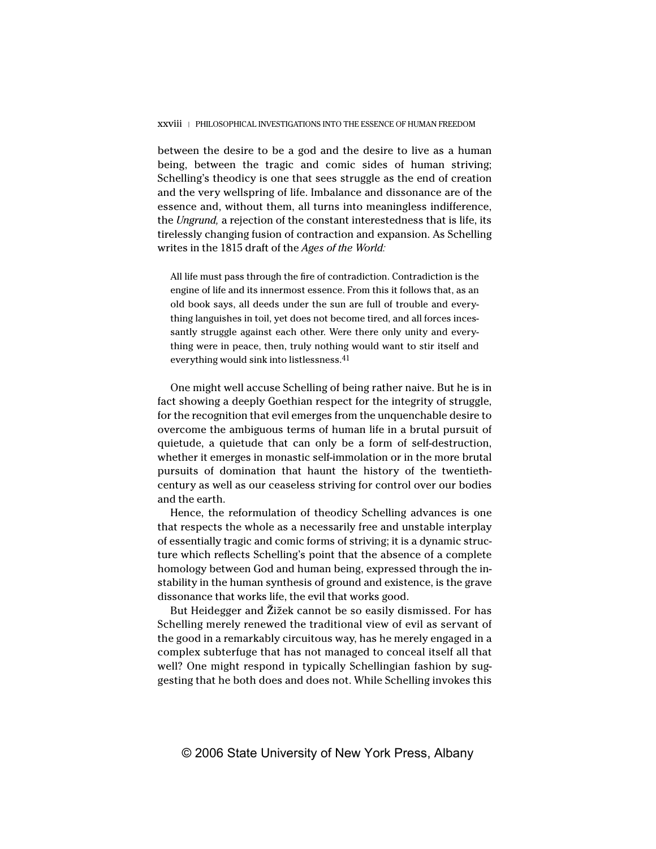### xxviii | PHILOSOPHICAL INVESTIGATIONS INTO THE ESSENCE OF HUMAN FREEDOM

between the desire to be a god and the desire to live as a human being, between the tragic and comic sides of human striving; Schelling's theodicy is one that sees struggle as the end of creation and the very wellspring of life. Imbalance and dissonance are of the essence and, without them, all turns into meaningless indifference, the *Ungrund,* a rejection of the constant interestedness that is life, its tirelessly changing fusion of contraction and expansion. As Schelling writes in the 1815 draft of the *Ages of the World:*

All life must pass through the fire of contradiction. Contradiction is the engine of life and its innermost essence. From this it follows that, as an old book says, all deeds under the sun are full of trouble and everything languishes in toil, yet does not become tired, and all forces incessantly struggle against each other. Were there only unity and everything were in peace, then, truly nothing would want to stir itself and everything would sink into listlessness.41

One might well accuse Schelling of being rather naive. But he is in fact showing a deeply Goethian respect for the integrity of struggle, for the recognition that evil emerges from the unquenchable desire to overcome the ambiguous terms of human life in a brutal pursuit of quietude, a quietude that can only be a form of self-destruction, whether it emerges in monastic self-immolation or in the more brutal pursuits of domination that haunt the history of the twentiethcentury as well as our ceaseless striving for control over our bodies and the earth.

Hence, the reformulation of theodicy Schelling advances is one that respects the whole as a necessarily free and unstable interplay of essentially tragic and comic forms of striving; it is a dynamic structure which reflects Schelling's point that the absence of a complete homology between God and human being, expressed through the instability in the human synthesis of ground and existence, is the grave dissonance that works life, the evil that works good.

But Heidegger and Žižek cannot be so easily dismissed. For has Schelling merely renewed the traditional view of evil as servant of the good in a remarkably circuitous way, has he merely engaged in a complex subterfuge that has not managed to conceal itself all that well? One might respond in typically Schellingian fashion by suggesting that he both does and does not. While Schelling invokes this